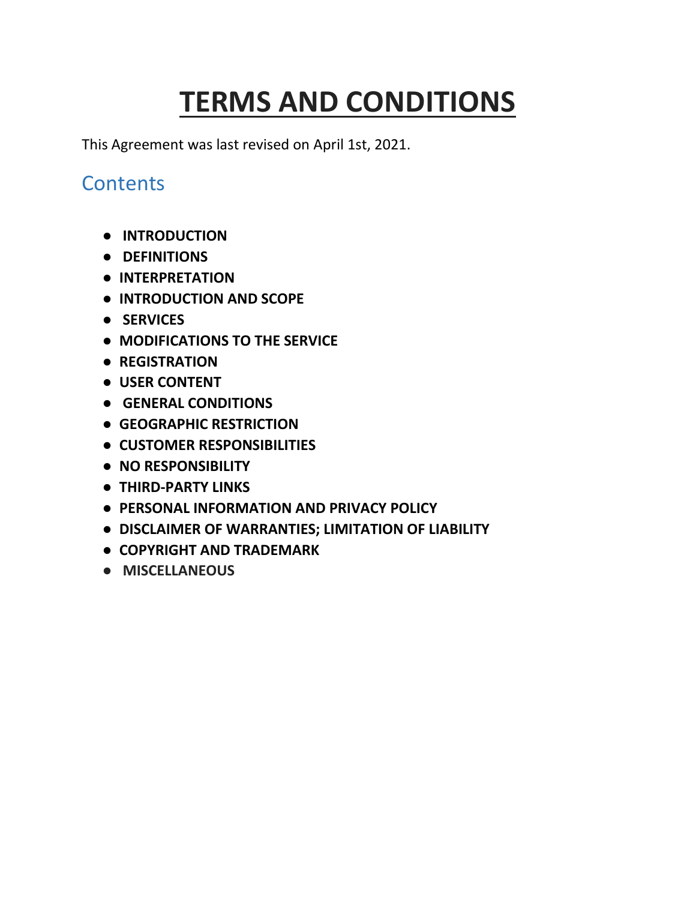# **TERMS AND CONDITIONS**

This Agreement was last revised on April 1st, 2021.

#### **Contents**

- **[INTRODUCTION](#page-0-0)**
- **[DEFINITIONS](#page-1-0)**
- **[INTERPRETATION](#page-1-1)**
- **[INTRODUCTION AND SCOPE](#page-2-0)**
- **[SERVICES](#page-2-1)**
- **[MODIFICATIONS TO THE SERVICE](https://docs.google.com/document/d/1XaGz3Toi_CKC4ahuJ2rm5aUgCrFB_HM-/edit#heading=h.4d34og8)**
- **[REGISTRATION](https://docs.google.com/document/d/1DC7DAMJBG1QIEDdoflK3NdAl89RKKcSz/edit#heading=h.ihv636)**
- **[USER CONTENT](#page-3-0)**
- **[GENERAL CONDITIONS](#page-4-0)**
- **[GEOGRAPHIC RESTRICTION](#page-4-1)**
- **[CUSTOMER RESPONSIBILITIES](#page-5-0)**
- **[NO RESPONSIBILITY](#page-6-0)**
- **THIRD-PARTY [LINKS](#page-6-1)**
- **[PERSONAL INFORMATION AND PRIVACY POLICY](#page-6-2)**
- **[DISCLAIMER OF WARRANTIES; LIMITATION OF LIABILITY](#page-8-0)**
- **[COPYRIGHT AND TRADEMARK](#page-7-0)**
- <span id="page-0-0"></span>● **MISCELLANEOUS**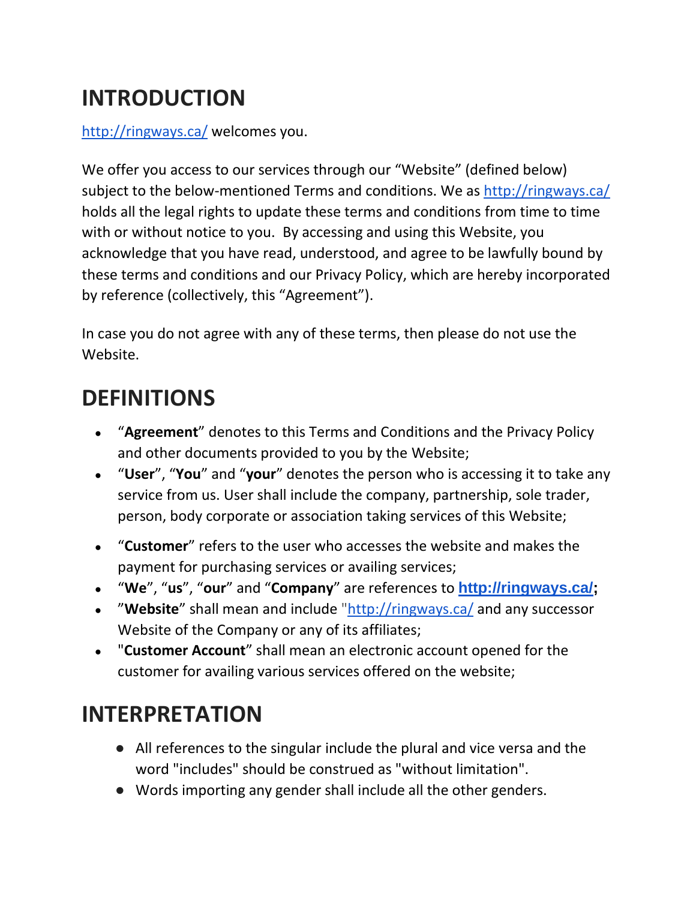# **INTRODUCTION**

<http://ringways.ca/> welcomes you.

We offer you access to our services through our "Website" (defined below) subject to the below-mentioned Terms and conditions. We as<http://ringways.ca/> holds all the legal rights to update these terms and conditions from time to time with or without notice to you. By accessing and using this Website, you acknowledge that you have read, understood, and agree to be lawfully bound by these terms and conditions and our Privacy Policy, which are hereby incorporated by reference (collectively, this "Agreement").

In case you do not agree with any of these terms, then please do not use the Website.

#### <span id="page-1-0"></span>**DEFINITIONS**

- "**Agreement**" denotes to this Terms and Conditions and the Privacy Policy and other documents provided to you by the Website;
- "**User**", "**You**" and "**your**" denotes the person who is accessing it to take any service from us. User shall include the company, partnership, sole trader, person, body corporate or association taking services of this Website;
- "**Customer**" refers to the user who accesses the website and makes the payment for purchasing services or availing services;
- "**We**", "**us**", "**our**" and "**Company**" are references to **[http://ringways.ca/;](http://ringways.ca/)**
- "**Website**" shall mean and include ["http://ringways.ca/](http://ringways.ca/) and any successor Website of the Company or any of its affiliates;
- "**Customer Account**" shall mean an electronic account opened for the customer for availing various services offered on the website;

### <span id="page-1-1"></span>**INTERPRETATION**

- All references to the singular include the plural and vice versa and the word "includes" should be construed as "without limitation".
- Words importing any gender shall include all the other genders.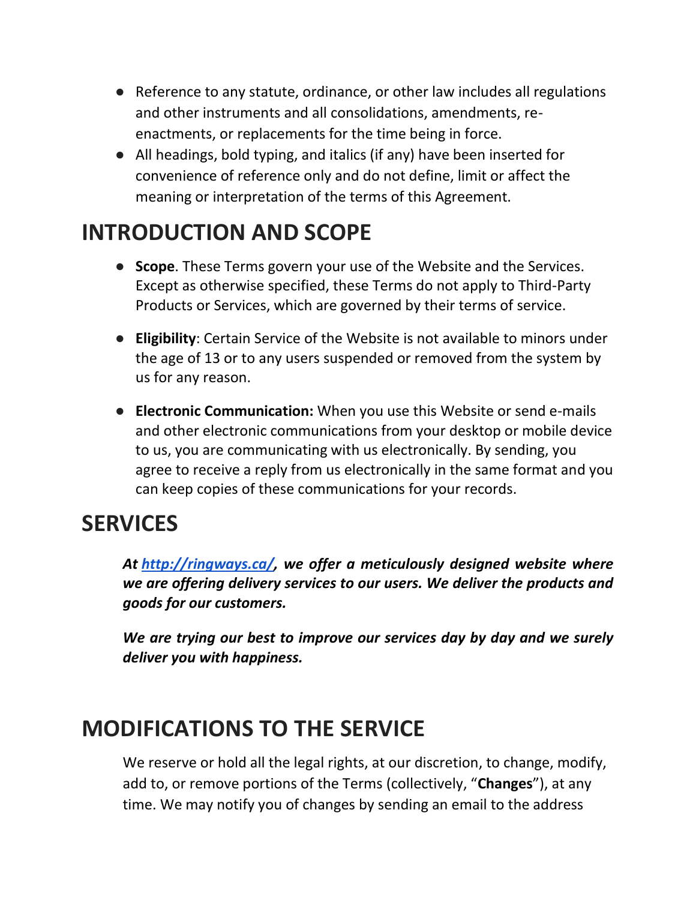- Reference to any statute, ordinance, or other law includes all regulations and other instruments and all consolidations, amendments, reenactments, or replacements for the time being in force.
- All headings, bold typing, and italics (if any) have been inserted for convenience of reference only and do not define, limit or affect the meaning or interpretation of the terms of this Agreement.

### <span id="page-2-0"></span>**INTRODUCTION AND SCOPE**

- **Scope**. These Terms govern your use of the Website and the Services. Except as otherwise specified, these Terms do not apply to Third-Party Products or Services, which are governed by their terms of service.
- **Eligibility**: Certain Service of the Website is not available to minors under the age of 13 or to any users suspended or removed from the system by us for any reason.
- **Electronic Communication:** When you use this Website or send e-mails and other electronic communications from your desktop or mobile device to us, you are communicating with us electronically. By sending, you agree to receive a reply from us electronically in the same format and you can keep copies of these communications for your records.

#### <span id="page-2-1"></span>**SERVICES**

*At [http://ringways.ca/,](http://ringways.ca/) we offer a meticulously designed website where we are offering delivery services to our users. We deliver the products and goods for our customers.* 

*We are trying our best to improve our services day by day and we surely deliver you with happiness.*

### **MODIFICATIONS TO THE SERVICE**

We reserve or hold all the legal rights, at our discretion, to change, modify, add to, or remove portions of the Terms (collectively, "**Changes**"), at any time. We may notify you of changes by sending an email to the address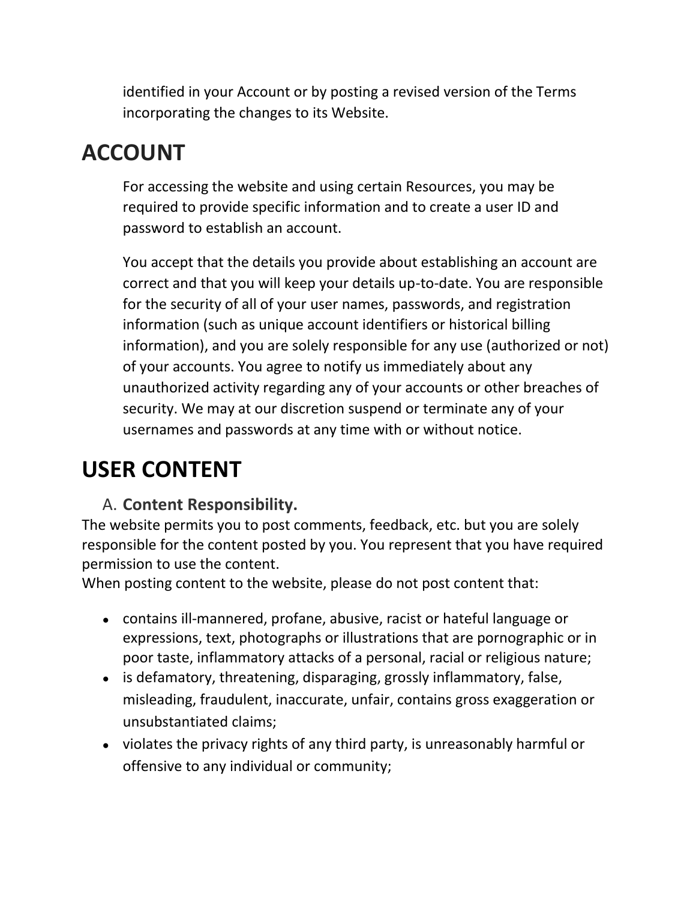identified in your Account or by posting a revised version of the Terms incorporating the changes to its Website.

### **ACCOUNT**

For accessing the website and using certain Resources, you may be required to provide specific information and to create a user ID and password to establish an account.

You accept that the details you provide about establishing an account are correct and that you will keep your details up-to-date. You are responsible for the security of all of your user names, passwords, and registration information (such as unique account identifiers or historical billing information), and you are solely responsible for any use (authorized or not) of your accounts. You agree to notify us immediately about any unauthorized activity regarding any of your accounts or other breaches of security. We may at our discretion suspend or terminate any of your usernames and passwords at any time with or without notice.

# <span id="page-3-0"></span>**USER CONTENT**

#### A. **Content Responsibility.**

The website permits you to post comments, feedback, etc. but you are solely responsible for the content posted by you. You represent that you have required permission to use the content.

When posting content to the website, please do not post content that:

- contains ill-mannered, profane, abusive, racist or hateful language or expressions, text, photographs or illustrations that are pornographic or in poor taste, inflammatory attacks of a personal, racial or religious nature;
- is defamatory, threatening, disparaging, grossly inflammatory, false, misleading, fraudulent, inaccurate, unfair, contains gross exaggeration or unsubstantiated claims;
- violates the privacy rights of any third party, is unreasonably harmful or offensive to any individual or community;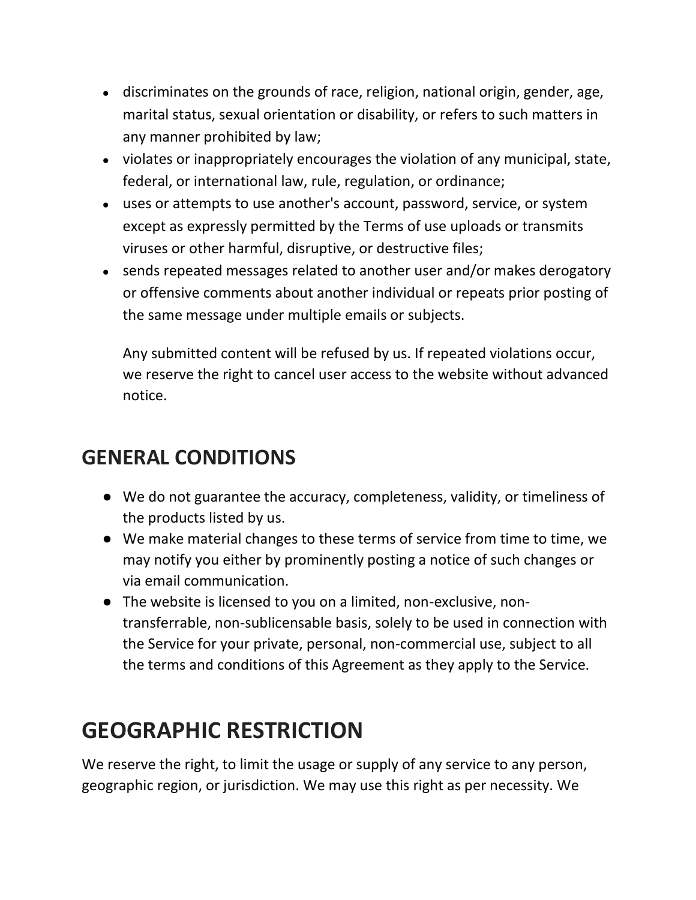- discriminates on the grounds of race, religion, national origin, gender, age, marital status, sexual orientation or disability, or refers to such matters in any manner prohibited by law;
- violates or inappropriately encourages the violation of any municipal, state, federal, or international law, rule, regulation, or ordinance;
- uses or attempts to use another's account, password, service, or system except as expressly permitted by the Terms of use uploads or transmits viruses or other harmful, disruptive, or destructive files;
- sends repeated messages related to another user and/or makes derogatory or offensive comments about another individual or repeats prior posting of the same message under multiple emails or subjects.

Any submitted content will be refused by us. If repeated violations occur, we reserve the right to cancel user access to the website without advanced notice.

#### <span id="page-4-0"></span>**GENERAL CONDITIONS**

- We do not guarantee the accuracy, completeness, validity, or timeliness of the products listed by us.
- We make material changes to these terms of service from time to time, we may notify you either by prominently posting a notice of such changes or via email communication.
- The website is licensed to you on a limited, non-exclusive, nontransferrable, non-sublicensable basis, solely to be used in connection with the Service for your private, personal, non-commercial use, subject to all the terms and conditions of this Agreement as they apply to the Service.

# <span id="page-4-1"></span>**GEOGRAPHIC RESTRICTION**

We reserve the right, to limit the usage or supply of any service to any person, geographic region, or jurisdiction. We may use this right as per necessity. We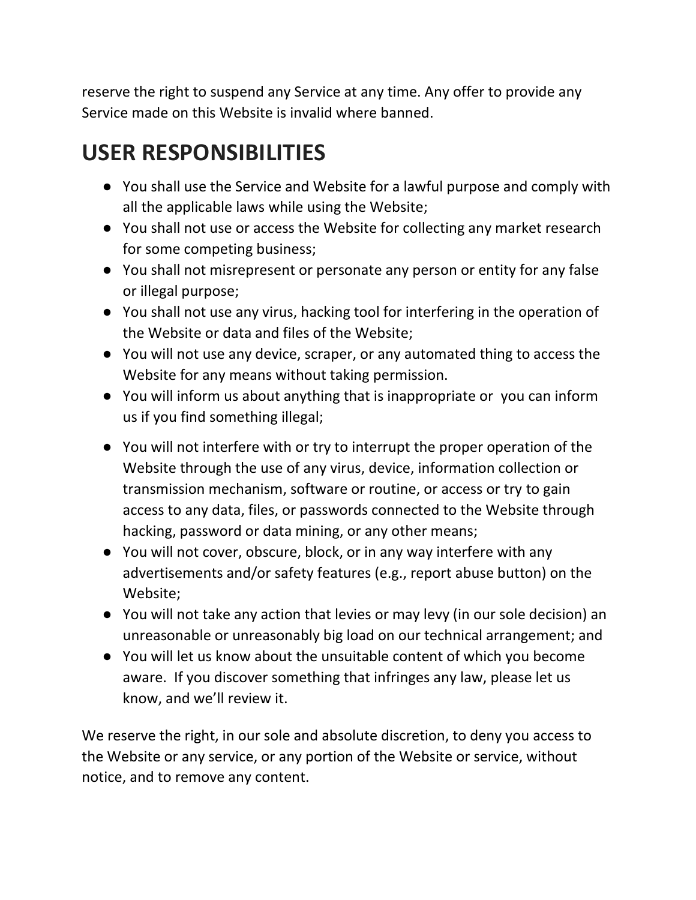reserve the right to suspend any Service at any time. Any offer to provide any Service made on this Website is invalid where banned.

# <span id="page-5-0"></span>**USER RESPONSIBILITIES**

- You shall use the Service and Website for a lawful purpose and comply with all the applicable laws while using the Website;
- You shall not use or access the Website for collecting any market research for some competing business;
- You shall not misrepresent or personate any person or entity for any false or illegal purpose;
- You shall not use any virus, hacking tool for interfering in the operation of the Website or data and files of the Website;
- You will not use any device, scraper, or any automated thing to access the Website for any means without taking permission.
- You will inform us about anything that is inappropriate or you can inform us if you find something illegal;
- You will not interfere with or try to interrupt the proper operation of the Website through the use of any virus, device, information collection or transmission mechanism, software or routine, or access or try to gain access to any data, files, or passwords connected to the Website through hacking, password or data mining, or any other means;
- You will not cover, obscure, block, or in any way interfere with any advertisements and/or safety features (e.g., report abuse button) on the Website;
- You will not take any action that levies or may levy (in our sole decision) an unreasonable or unreasonably big load on our technical arrangement; and
- You will let us know about the unsuitable content of which you become aware. If you discover something that infringes any law, please let us know, and we'll review it.

We reserve the right, in our sole and absolute discretion, to deny you access to the Website or any service, or any portion of the Website or service, without notice, and to remove any content.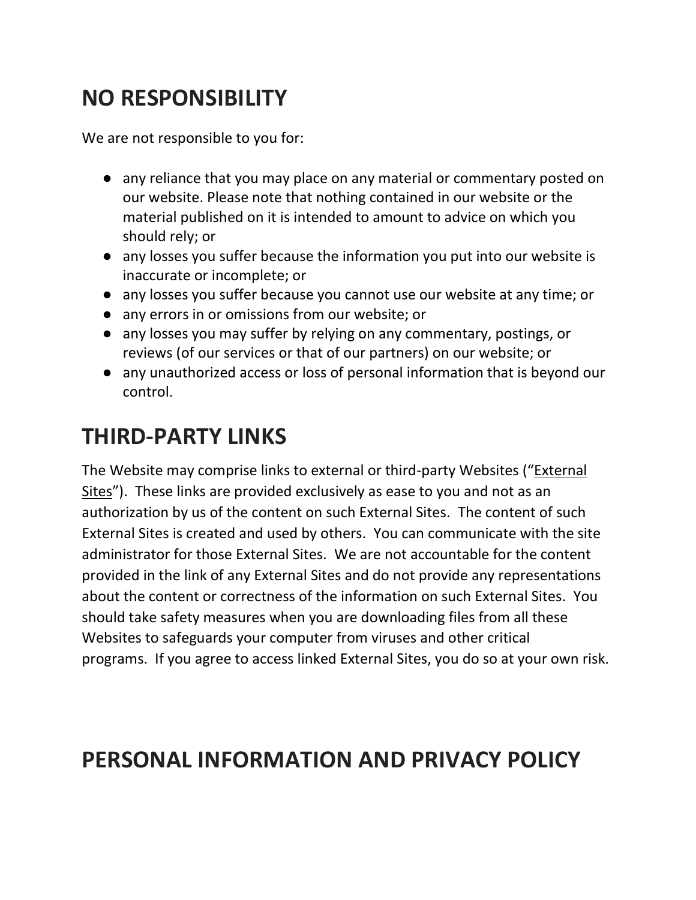### <span id="page-6-0"></span>**NO RESPONSIBILITY**

We are not responsible to you for:

- any reliance that you may place on any material or commentary posted on our website. Please note that nothing contained in our website or the material published on it is intended to amount to advice on which you should rely; or
- any losses you suffer because the information you put into our website is inaccurate or incomplete; or
- any losses you suffer because you cannot use our website at any time; or
- any errors in or omissions from our website; or
- any losses you may suffer by relying on any commentary, postings, or reviews (of our services or that of our partners) on our website; or
- any unauthorized access or loss of personal information that is beyond our control.

### <span id="page-6-1"></span>**THIRD-PARTY LINKS**

The Website may comprise links to external or third-party Websites ("External Sites"). These links are provided exclusively as ease to you and not as an authorization by us of the content on such External Sites. The content of such External Sites is created and used by others. You can communicate with the site administrator for those External Sites. We are not accountable for the content provided in the link of any External Sites and do not provide any representations about the content or correctness of the information on such External Sites. You should take safety measures when you are downloading files from all these Websites to safeguards your computer from viruses and other critical programs. If you agree to access linked External Sites, you do so at your own risk.

### <span id="page-6-2"></span>**PERSONAL INFORMATION AND PRIVACY POLICY**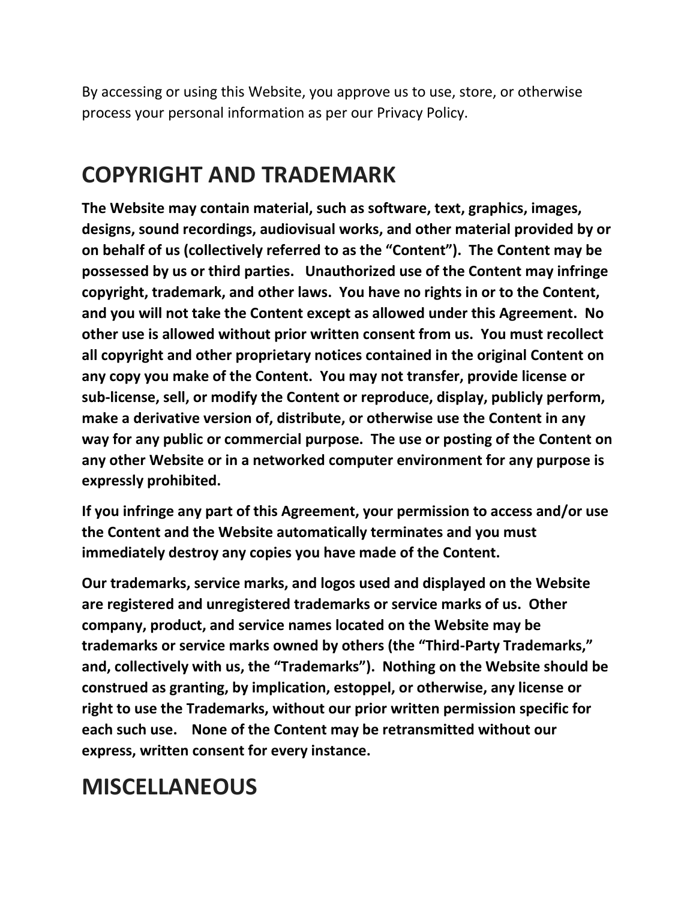By accessing or using this Website, you approve us to use, store, or otherwise process your personal information as per our Privacy Policy.

### <span id="page-7-0"></span>**COPYRIGHT AND TRADEMARK**

**The Website may contain material, such as software, text, graphics, images, designs, sound recordings, audiovisual works, and other material provided by or on behalf of us (collectively referred to as the "Content"). The Content may be possessed by us or third parties. Unauthorized use of the Content may infringe copyright, trademark, and other laws. You have no rights in or to the Content, and you will not take the Content except as allowed under this Agreement. No other use is allowed without prior written consent from us. You must recollect all copyright and other proprietary notices contained in the original Content on any copy you make of the Content. You may not transfer, provide license or sub-license, sell, or modify the Content or reproduce, display, publicly perform, make a derivative version of, distribute, or otherwise use the Content in any way for any public or commercial purpose. The use or posting of the Content on any other Website or in a networked computer environment for any purpose is expressly prohibited.**

**If you infringe any part of this Agreement, your permission to access and/or use the Content and the Website automatically terminates and you must immediately destroy any copies you have made of the Content.**

**Our trademarks, service marks, and logos used and displayed on the Website are registered and unregistered trademarks or service marks of us. Other company, product, and service names located on the Website may be trademarks or service marks owned by others (the "Third-Party Trademarks," and, collectively with us, the "Trademarks"). Nothing on the Website should be construed as granting, by implication, estoppel, or otherwise, any license or right to use the Trademarks, without our prior written permission specific for each such use. None of the Content may be retransmitted without our express, written consent for every instance.**

### **MISCELLANEOUS**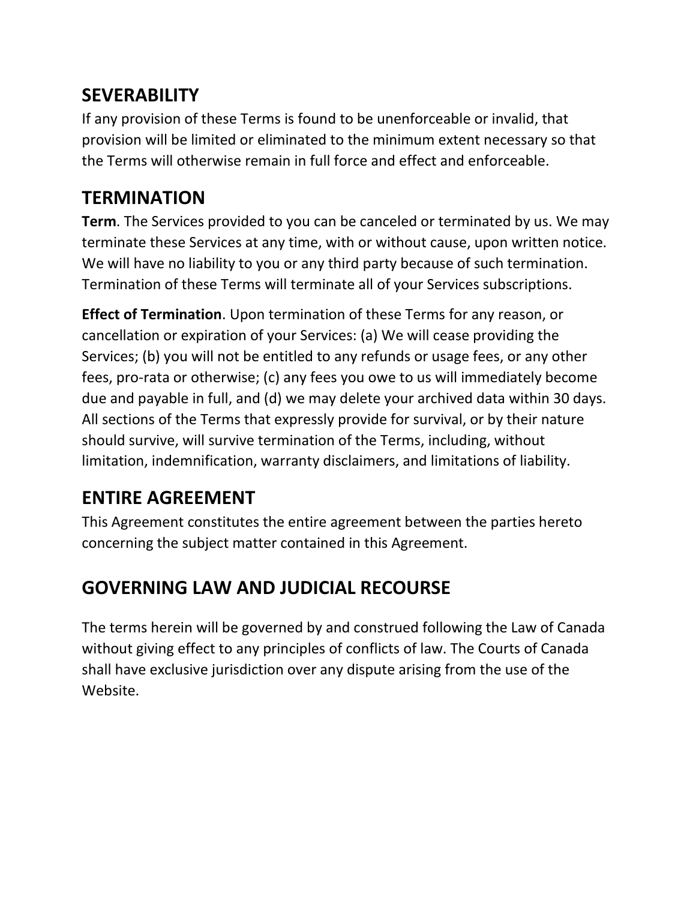#### <span id="page-8-0"></span>**SEVERABILITY**

If any provision of these Terms is found to be unenforceable or invalid, that provision will be limited or eliminated to the minimum extent necessary so that the Terms will otherwise remain in full force and effect and enforceable.

#### **TERMINATION**

**Term**. The Services provided to you can be canceled or terminated by us. We may terminate these Services at any time, with or without cause, upon written notice. We will have no liability to you or any third party because of such termination. Termination of these Terms will terminate all of your Services subscriptions.

**Effect of Termination**. Upon termination of these Terms for any reason, or cancellation or expiration of your Services: (a) We will cease providing the Services; (b) you will not be entitled to any refunds or usage fees, or any other fees, pro-rata or otherwise; (c) any fees you owe to us will immediately become due and payable in full, and (d) we may delete your archived data within 30 days. All sections of the Terms that expressly provide for survival, or by their nature should survive, will survive termination of the Terms, including, without limitation, indemnification, warranty disclaimers, and limitations of liability.

#### **ENTIRE AGREEMENT**

This Agreement constitutes the entire agreement between the parties hereto concerning the subject matter contained in this Agreement.

#### **GOVERNING LAW AND JUDICIAL RECOURSE**

The terms herein will be governed by and construed following the Law of Canada without giving effect to any principles of conflicts of law. The Courts of Canada shall have exclusive jurisdiction over any dispute arising from the use of the Website.